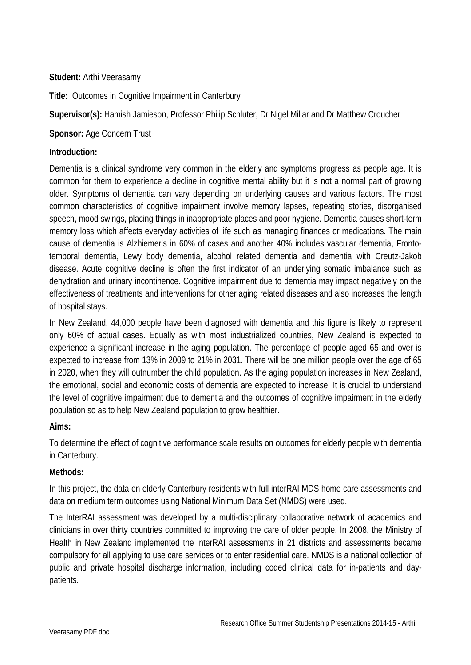## **Student:** Arthi Veerasamy

**Title:** Outcomes in Cognitive Impairment in Canterbury

**Supervisor(s):** Hamish Jamieson, Professor Philip Schluter, Dr Nigel Millar and Dr Matthew Croucher

**Sponsor:** Age Concern Trust

## **Introduction:**

Dementia is a clinical syndrome very common in the elderly and symptoms progress as people age. It is common for them to experience a decline in cognitive mental ability but it is not a normal part of growing older. Symptoms of dementia can vary depending on underlying causes and various factors. The most common characteristics of cognitive impairment involve memory lapses, repeating stories, disorganised speech, mood swings, placing things in inappropriate places and poor hygiene. Dementia causes short-term memory loss which affects everyday activities of life such as managing finances or medications. The main cause of dementia is Alzhiemer's in 60% of cases and another 40% includes vascular dementia, Frontotemporal dementia, Lewy body dementia, alcohol related dementia and dementia with Creutz-Jakob disease. Acute cognitive decline is often the first indicator of an underlying somatic imbalance such as dehydration and urinary incontinence. Cognitive impairment due to dementia may impact negatively on the effectiveness of treatments and interventions for other aging related diseases and also increases the length of hospital stays.

In New Zealand, 44,000 people have been diagnosed with dementia and this figure is likely to represent only 60% of actual cases. Equally as with most industrialized countries, New Zealand is expected to experience a significant increase in the aging population. The percentage of people aged 65 and over is expected to increase from 13% in 2009 to 21% in 2031. There will be one million people over the age of 65 in 2020, when they will outnumber the child population. As the aging population increases in New Zealand, the emotional, social and economic costs of dementia are expected to increase. It is crucial to understand the level of cognitive impairment due to dementia and the outcomes of cognitive impairment in the elderly population so as to help New Zealand population to grow healthier.

# **Aims:**

To determine the effect of cognitive performance scale results on outcomes for elderly people with dementia in Canterbury.

#### **Methods:**

In this project, the data on elderly Canterbury residents with full interRAI MDS home care assessments and data on medium term outcomes using National Minimum Data Set (NMDS) were used.

The InterRAI assessment was developed by a multi-disciplinary collaborative network of academics and clinicians in over thirty countries committed to improving the care of older people. In 2008, the Ministry of Health in New Zealand implemented the interRAI assessments in 21 districts and assessments became compulsory for all applying to use care services or to enter residential care. NMDS is a national collection of public and private hospital discharge information, including coded clinical data for in-patients and daypatients.